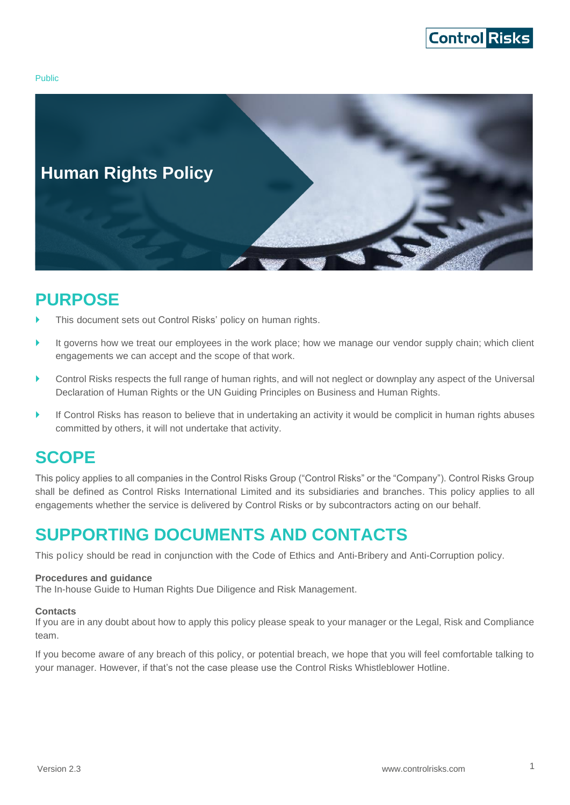

Public



## <span id="page-0-0"></span>**PURPOSE**

- This document sets out Control Risks' policy on human rights.
- It governs how we treat our employees in the work place; how we manage our vendor supply chain; which client engagements we can accept and the scope of that work.
- Control Risks respects the full range of human rights, and will not neglect or downplay any aspect of the Universal Declaration of Human Rights or the UN Guiding Principles on Business and Human Rights.
- If Control Risks has reason to believe that in undertaking an activity it would be complicit in human rights abuses committed by others, it will not undertake that activity.

## <span id="page-0-1"></span>**SCOPE**

This policy applies to all companies in the Control Risks Group ("Control Risks" or the "Company"). Control Risks Group shall be defined as Control Risks International Limited and its subsidiaries and branches. This policy applies to all engagements whether the service is delivered by Control Risks or by subcontractors acting on our behalf.

## <span id="page-0-2"></span>**SUPPORTING DOCUMENTS AND CONTACTS**

This policy should be read in conjunction with the Code of Ethics and Anti-Bribery and Anti-Corruption policy.

#### **Procedures and guidance**

The In-house Guide to Human Rights Due Diligence and Risk Management.

#### **Contacts**

If you are in any doubt about how to apply this policy please speak to your manager or the Legal, Risk and Compliance team.

If you become aware of any breach of this policy, or potential breach, we hope that you will feel comfortable talking to your manager. However, if that's not the case please use the Control Risks Whistleblower Hotline.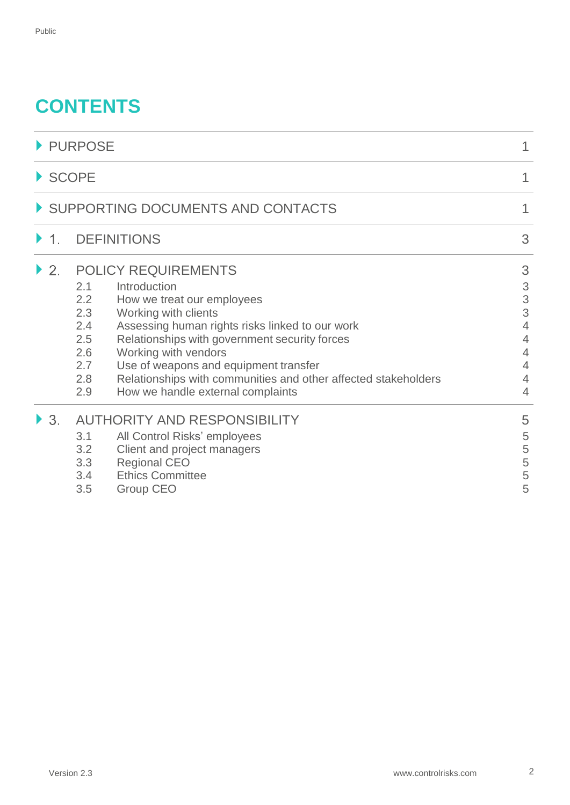# **CONTENTS**

| PURPOSE<br>$\triangleright$ SCOPE<br>SUPPORTING DOCUMENTS AND CONTACTS |                                                                                                                                                                                                      |                            |                          |                                                                                                                                                                                                                                                                                                                                                                                                                                             |                                                                                                  |
|------------------------------------------------------------------------|------------------------------------------------------------------------------------------------------------------------------------------------------------------------------------------------------|----------------------------|--------------------------|---------------------------------------------------------------------------------------------------------------------------------------------------------------------------------------------------------------------------------------------------------------------------------------------------------------------------------------------------------------------------------------------------------------------------------------------|--------------------------------------------------------------------------------------------------|
|                                                                        |                                                                                                                                                                                                      |                            | $\blacktriangleright$ 1. | <b>DEFINITIONS</b>                                                                                                                                                                                                                                                                                                                                                                                                                          | 3                                                                                                |
|                                                                        |                                                                                                                                                                                                      |                            | $\overline{2}$ .         | <b>POLICY REQUIREMENTS</b><br>Introduction<br>2.1<br>2.2<br>How we treat our employees<br>2.3<br>Working with clients<br>Assessing human rights risks linked to our work<br>2.4<br>2.5<br>Relationships with government security forces<br>2.6<br>Working with vendors<br>Use of weapons and equipment transfer<br>2.7<br>Relationships with communities and other affected stakeholders<br>2.8<br>How we handle external complaints<br>2.9 | 3<br>$\ensuremath{\mathsf{3}}$<br>3<br>3<br>$\overline{4}$<br>$\overline{4}$<br>4<br>4<br>4<br>4 |
| $\blacktriangleright$ 3.                                               | <b>AUTHORITY AND RESPONSIBILITY</b><br>All Control Risks' employees<br>3.1<br>3.2<br>Client and project managers<br><b>Regional CEO</b><br>3.3<br><b>Ethics Committee</b><br>3.4<br>Group CEO<br>3.5 | 5<br>5<br>5<br>5<br>5<br>5 |                          |                                                                                                                                                                                                                                                                                                                                                                                                                                             |                                                                                                  |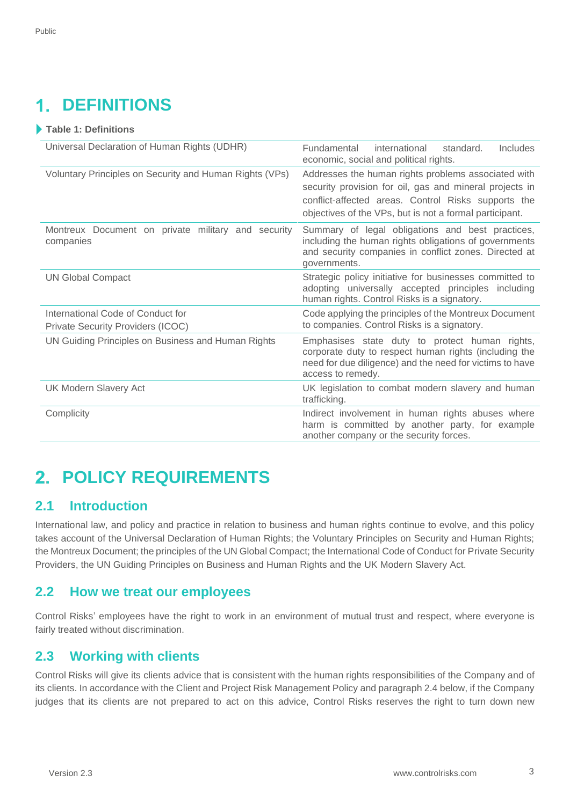#### <span id="page-2-0"></span>**DEFINITIONS** 1

#### **Table 1: Definitions**

| Universal Declaration of Human Rights (UDHR)                    | <b>Fundamental</b><br>international<br>standard.<br>Includes<br>economic, social and political rights.                                                                                   |  |
|-----------------------------------------------------------------|------------------------------------------------------------------------------------------------------------------------------------------------------------------------------------------|--|
| Voluntary Principles on Security and Human Rights (VPs)         | Addresses the human rights problems associated with                                                                                                                                      |  |
|                                                                 | security provision for oil, gas and mineral projects in                                                                                                                                  |  |
|                                                                 | conflict-affected areas. Control Risks supports the                                                                                                                                      |  |
|                                                                 | objectives of the VPs, but is not a formal participant.                                                                                                                                  |  |
| Montreux Document on private military and security<br>companies | Summary of legal obligations and best practices,<br>including the human rights obligations of governments<br>and security companies in conflict zones. Directed at<br>governments.       |  |
| <b>UN Global Compact</b>                                        | Strategic policy initiative for businesses committed to<br>adopting universally accepted principles including<br>human rights. Control Risks is a signatory.                             |  |
| International Code of Conduct for                               | Code applying the principles of the Montreux Document                                                                                                                                    |  |
| Private Security Providers (ICOC)                               | to companies. Control Risks is a signatory.                                                                                                                                              |  |
| UN Guiding Principles on Business and Human Rights              | Emphasises state duty to protect human rights,<br>corporate duty to respect human rights (including the<br>need for due diligence) and the need for victims to have<br>access to remedy. |  |
| <b>UK Modern Slavery Act</b>                                    | UK legislation to combat modern slavery and human<br>trafficking.                                                                                                                        |  |
| Complicity                                                      | Indirect involvement in human rights abuses where<br>harm is committed by another party, for example<br>another company or the security forces.                                          |  |

# <span id="page-2-1"></span>**POLICY REQUIREMENTS**

#### <span id="page-2-2"></span>**2.1 Introduction**

International law, and policy and practice in relation to business and human rights continue to evolve, and this policy takes account of the Universal Declaration of Human Rights; the Voluntary Principles on Security and Human Rights; the Montreux Document; the principles of the UN Global Compact; the International Code of Conduct for Private Security Providers, the UN Guiding Principles on Business and Human Rights and the UK Modern Slavery Act.

### <span id="page-2-3"></span>**2.2 How we treat our employees**

Control Risks' employees have the right to work in an environment of mutual trust and respect, where everyone is fairly treated without discrimination.

### <span id="page-2-4"></span>**2.3 Working with clients**

Control Risks will give its clients advice that is consistent with the human rights responsibilities of the Company and of its clients. In accordance with the Client and Project Risk Management Policy and paragraph 2.4 below, if the Company judges that its clients are not prepared to act on this advice, Control Risks reserves the right to turn down new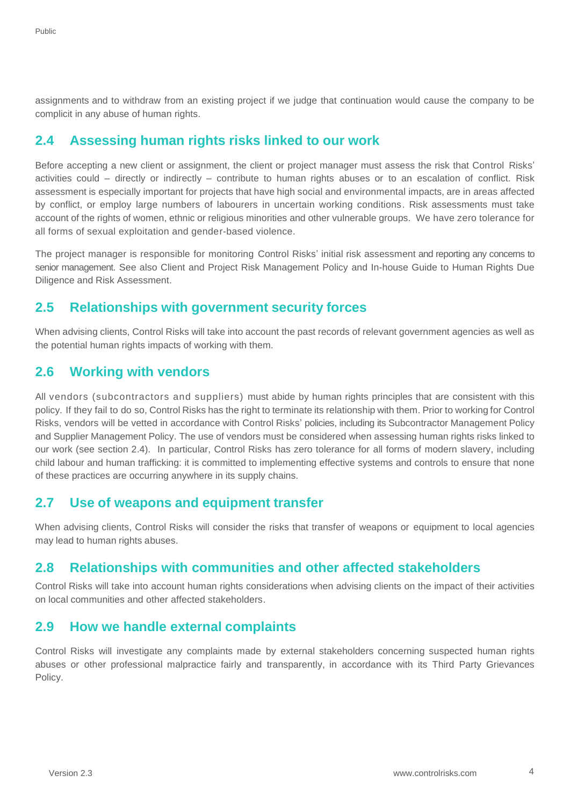assignments and to withdraw from an existing project if we judge that continuation would cause the company to be complicit in any abuse of human rights.

#### <span id="page-3-0"></span>**2.4 Assessing human rights risks linked to our work**

Before accepting a new client or assignment, the client or project manager must assess the risk that Control Risks' activities could – directly or indirectly – contribute to human rights abuses or to an escalation of conflict. Risk assessment is especially important for projects that have high social and environmental impacts, are in areas affected by conflict, or employ large numbers of labourers in uncertain working conditions. Risk assessments must take account of the rights of women, ethnic or religious minorities and other vulnerable groups. We have zero tolerance for all forms of sexual exploitation and gender-based violence.

The project manager is responsible for monitoring Control Risks' initial risk assessment and reporting any concerns to senior management. See also Client and Project Risk Management Policy and In-house Guide to Human Rights Due Diligence and Risk Assessment.

#### <span id="page-3-1"></span>**2.5 Relationships with government security forces**

When advising clients, Control Risks will take into account the past records of relevant government agencies as well as the potential human rights impacts of working with them.

#### <span id="page-3-2"></span>**2.6 Working with vendors**

All vendors (subcontractors and suppliers) must abide by human rights principles that are consistent with this policy. If they fail to do so, Control Risks has the right to terminate its relationship with them. Prior to working for Control Risks, vendors will be vetted in accordance with Control Risks' policies, including its Subcontractor Management Policy and Supplier Management Policy. The use of vendors must be considered when assessing human rights risks linked to our work (see section 2.4). In particular, Control Risks has zero tolerance for all forms of modern slavery, including child labour and human trafficking: it is committed to implementing effective systems and controls to ensure that none of these practices are occurring anywhere in its supply chains.

#### <span id="page-3-3"></span>**2.7 Use of weapons and equipment transfer**

When advising clients, Control Risks will consider the risks that transfer of weapons or equipment to local agencies may lead to human rights abuses.

#### <span id="page-3-4"></span>**2.8 Relationships with communities and other affected stakeholders**

Control Risks will take into account human rights considerations when advising clients on the impact of their activities on local communities and other affected stakeholders.

#### <span id="page-3-5"></span>**2.9 How we handle external complaints**

Control Risks will investigate any complaints made by external stakeholders concerning suspected human rights abuses or other professional malpractice fairly and transparently, in accordance with its Third Party Grievances Policy.